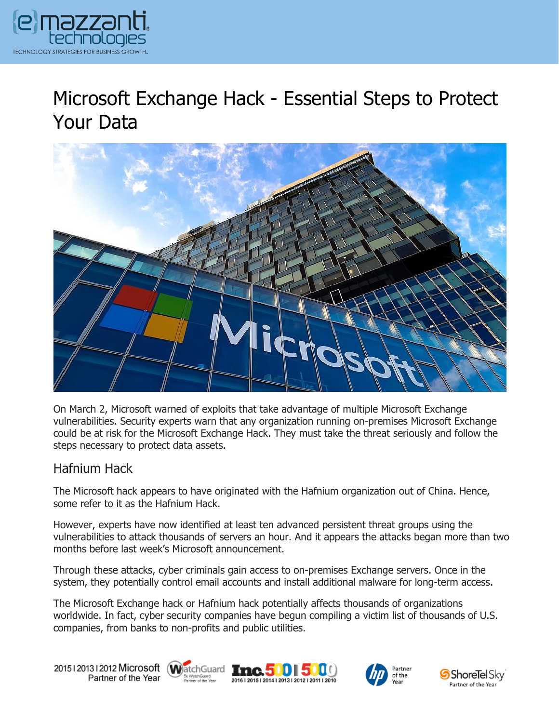

# Microsoft Exchange Hack - Essential Steps to Protect Your Data



On March 2, Microsoft warned of exploits that take advantage of multiple Microsoft Exchange vulnerabilities. Security experts warn that any organization running on-premises Microsoft Exchange could be at risk for the Microsoft Exchange Hack. They must take the threat seriously and follow the steps necessary to protect data assets.

#### Hafnium Hack

The Microsoft hack appears to have originated with the Hafnium organization out of China. Hence, some refer to it as the Hafnium Hack.

However, experts have now identified at least ten advanced persistent threat groups using the vulnerabilities to attack thousands of servers an hour. And it appears the attacks began more than two months before last week's Microsoft announcement.

Through these attacks, cyber criminals gain access to on-premises Exchange servers. Once in the system, they potentially control email accounts and install additional malware for long-term access.

The Microsoft Exchange hack or Hafnium hack potentially affects thousands of organizations worldwide. In fact, cyber security companies have begun compiling a victim list of thousands of U.S. companies, from banks to non-profits and public utilities.

20151201312012 Microsoft WatchGuard Tnc. 500 500 Partner of the Year







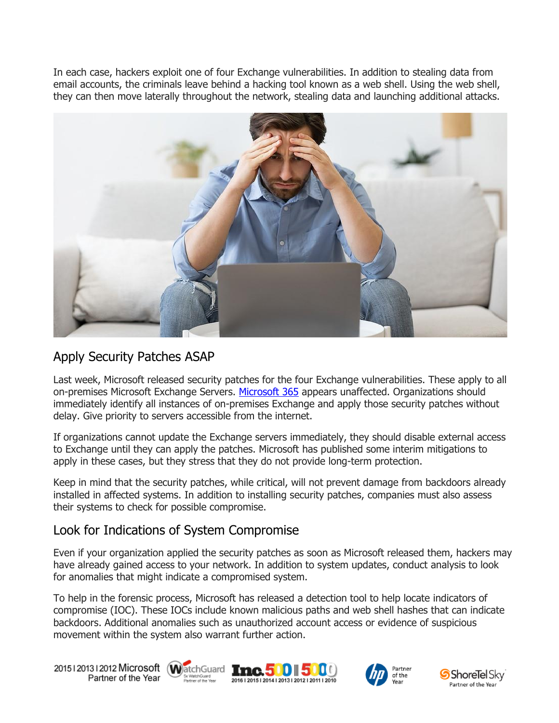In each case, hackers exploit one of four Exchange vulnerabilities. In addition to stealing data from email accounts, the criminals leave behind a hacking tool known as a web shell. Using the web shell, they can then move laterally throughout the network, stealing data and launching additional attacks.



## Apply Security Patches ASAP

Last week, Microsoft released security patches for the four Exchange vulnerabilities. These apply to all on-premises Microsoft Exchange Servers. [Microsoft 365](https://messagingarchitects.com/reasons-to-migrate-to-microsoft-365/) appears unaffected. Organizations should immediately identify all instances of on-premises Exchange and apply those security patches without delay. Give priority to servers accessible from the internet.

If organizations cannot update the Exchange servers immediately, they should disable external access to Exchange until they can apply the patches. Microsoft has published some interim mitigations to apply in these cases, but they stress that they do not provide long-term protection.

Keep in mind that the security patches, while critical, will not prevent damage from backdoors already installed in affected systems. In addition to installing security patches, companies must also assess their systems to check for possible compromise.

### Look for Indications of System Compromise

Even if your organization applied the security patches as soon as Microsoft released them, hackers may have already gained access to your network. In addition to system updates, conduct analysis to look for anomalies that might indicate a compromised system.

To help in the forensic process, Microsoft has released a detection tool to help locate indicators of compromise (IOC). These IOCs include known malicious paths and web shell hashes that can indicate backdoors. Additional anomalies such as unauthorized account access or evidence of suspicious movement within the system also warrant further action.

20151201312012 Microsoft WatchGuard Tnc. 500 500 Partner of the Year